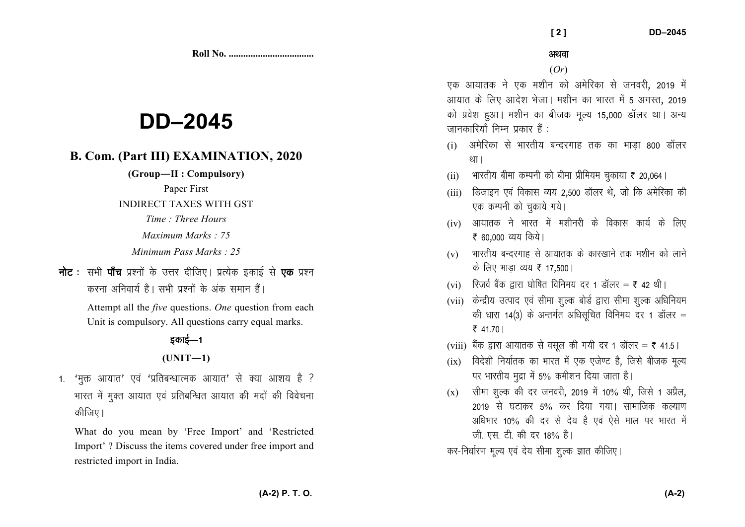**Roll No. ...................................** 

# **DD–2045**

# **B. Com. (Part III) EXAMINATION, 2020**

**(Group—II : Compulsory)** 

Paper First

### INDIRECT TAXES WITH GST

*Time : Three Hours* 

*Maximum Marks : 75* 

*Minimum Pass Marks : 25*

नोट : सभी पाँच प्रश्नों के उत्तर दीजिए। प्रत्येक इकाई से **एक** प्रश्न करना अनिवार्य है। सभी पश्नों के अंक समान हैं।

> Attempt all the *five* questions. *One* question from each Unit is compulsory. All questions carry equal marks.

# डकाई—1

## **(UNIT—1)**

1. 'मुक्त आयात' एवं 'प्रतिबन्धात्मक आयात' से क्या आशय है ? भारत में मुक्त आयात एवं प्रतिबन्धित आयात की मदों की विवेचना कीजिए।

What do you mean by 'Free Import' and 'Restricted Import' ? Discuss the items covered under free import and restricted import in India.

(*Or*)

एक आयातक ने एक मशीन को अमेरिका से जनवरी, 2019 में आयात के लिए आदेश भेजा। मशीन का भारत में 5 अगस्त, 2019 को प्रवेश हुआ। मशीन का बीजक मूल्य 15,000 डॉलर था। अन्य जानकारियाँ निम्न प्रकार हैं :

- $(i)$  अमेरिका से भारतीय बन्दरगाह तक का भाड़ा 800 डॉलर था।
- $\rm (ii)$  ) भारतीय बीमा कम्पनी को बीमा प्रीमियम चुकाया ₹ 20,064 |
- $(iii)$  डिजाइन एवं विकास व्यय 2,500 डॉलर थे, जो कि अमेरिका की एक कम्पनी को चुकाये गये।
- $(iv)$  आयातक ने भारत में मशीनरी के विकास कार्य के लिए ₹ 60,000 व्यय किये।
- $(v)$  भारतीय बन्दरगाह से आयातक के कारखाने तक मशीन को लाने के लिए भाड़ा व्यय **₹** 17,500 |
- $({\rm vi})$   $\;$  रिजर्व बैंक द्वारा घोषित विनिमय दर 1 डॉलर = ₹ 42 थी।
- (vii) केन्द्रीय उत्पाद एवं सीमा शुल्क बोर्ड द्वारा सीमा शुल्क अधिनियम की धारा 14(3) के अन्तर्गत अधिसूचित विनिमय दर 1 डॉलर =  $74170$
- $(\mathrm{viii})$  बैंक द्वारा आयातक से वसूल की गयी दर 1 डॉलर = ₹ 41.5।
- $(ix)$  विदेशी निर्यातक का भारत में एक एजेण्ट है, जिसे बीजक मूल्य पर भारतीय मुद्रा में 5% कमीशन दिया जाता है।
- $\rm(x)$  ) सीमा शुल्क की दर जनवरी, 2019 में 10% थी, जिसे 1 अप्रैल, 2019 से घटाकर 5% कर दिया गया। सामाजिक कल्याण अधिभार 10% की दर से देय है एवं ऐसे माल पर भारत में जी. एस. टी. की दर 18% है।

कर-निर्धारण मूल्य एवं देय सीमा शुल्क ज्ञात कीजिए।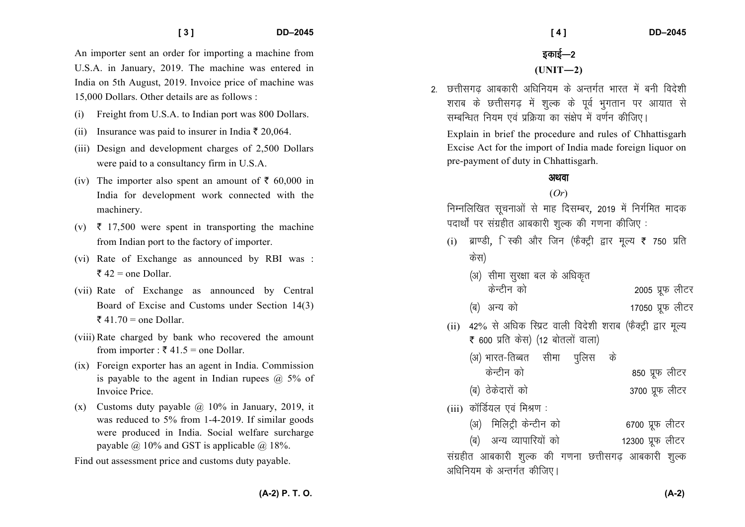An importer sent an order for importing a machine from U.S.A. in January, 2019. The machine was entered inIndia on 5th August, 2019. Invoice price of machine was 15,000 Dollars. Other details are as follows :

- (i) Freight from U.S.A. to Indian port was 800 Dollars.
- (ii) Insurance was paid to insurer in India  $\bar{\tau}$  20,064.
- (iii) Design and development charges of 2,500 Dollars were paid to a consultancy firm in U.S.A.
- (iv) The importer also spent an amount of  $\bar{\tau}$  60,000 in India for development work connected with the machinery.
- (v)  $\bar{\tau}$  17,500 were spent in transporting the machine from Indian port to the factory of importer.
- (vi) Rate of Exchange as announced by RBI was :  $\overline{\xi}$  42 = one Dollar.
- (vii) Rate of Exchange as announced by Central Board of Excise and Customs under Section 14(3)  $\overline{\xi}$  41.70 = one Dollar.
- (viii) Rate charged by bank who recovered the amount from importer :  $\bar{\tau}$  41.5 = one Dollar.
- (ix) Foreign exporter has an agent in India. Commission is payable to the agent in Indian rupees  $\omega$  5% of Invoice Price.
- (x) Customs duty payable  $\omega$  10% in January, 2019, it was reduced to 5% from 1-4-2019. If similar goods were produced in India. Social welfare surcharge payable  $\omega$  10% and GST is applicable  $\omega$  18%.

Find out assessment price and customs duty payable.

2. छत्तीसगढ आबकारी अधिनियम के अन्तर्गत भारत में बनी विदेशी शराब के छत्तीसगढ़ में शुल्क के पूर्व भुगतान पर आयात से सम्बन्धित नियम एवं प्रक्रिया का संक्षेप में वर्णन कीजिए।

Explain in brief the procedure and rules of Chhattisgarh Excise Act for the import of India made foreign liquor on pre-payment of duty in Chhattisgarh.

## अथवा

#### (*Or*)

निम्नलिखित सचनाओं से माह दिसम्बर, 2019 में निर्गमित मादक पदार्थों पर संग्रहीत आबकारी शल्क की गणना कीजिए :

- (i) ब्राण्डी, िस्की और जिन (फैक्ट्री द्वार मूल्य ₹ 750 प्रति<br>、、、 केस)
	- (अ) सीमा सुरक्षा बल के अधिकृत केन्टीन को बाट करने करने करने करने के अपने क्षेत्र करने के अपने क्षेत्र करने के अपने क्षेत्र करने के अन्न करने ¼c½ vU; dks 17050 izwQ yhVj
- (ii) 42% से अधिक स्प्रिट वाली विदेशी शराब (फैक्ट्री द्वार मूल्य  $\bar{\bar{\tau}}$  600 प्रति केस) (12 बोतलों वाला)
	- (अ) भारत-तिब्बत सीमा पुलिस के केन्टीन को बाद करने हैं के अपने क्षेत्र कोटर (ब) ठेकेदारों को बाद कर 200 प्रक लीटर
- $(iii)$  कॉर्डियल एवं मिश्रण :
	- (अ) मिलिट्री केन्टीन को 6700 प्रफ लीटर

¼c½ vU; O;kikfj;ksa dks 12300 izwQ yhVj संग्रहीत आबकारी शुल्क की गणना छत्तीसगढ़ आबकारी शुल्क अधिनियम के अन्तर्गत कीजिए।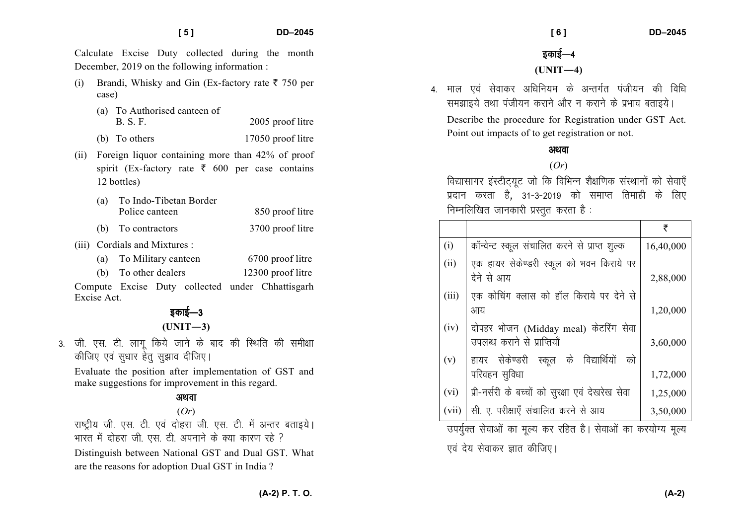Calculate Excise Duty collected during the month December, 2019 on the following information :

- (i) Brandi, Whisky and Gin (Ex-factory rate  $\bar{\tau}$  750 per case)
	- (a) To Authorised canteen of B. S. F. 2005 proof litre
	- (b) To others 17050 proof litre
- (ii) Foreign liquor containing more than 42% of proof spirit (Ex-factory rate  $\bar{\tau}$  600 per case contains 12 bottles)
	- (a) To Indo-Tibetan Border Police canteen 850 proof litre
	- (b) To contractors 3700 proof litre
- (iii) Cordials and Mixtures :
	- (a) To Military canteen 6700 proof litre (b) To other dealers 12300 proof litre

Compute Excise Duty collected under Chhattisgarh Excise Act.

# इकाई—3 **(UNIT—3)**

3. जी. एस. टी. लागू किये जाने के बाद की स्थिति की समीक्षा कीजिए एवं सुधार हेतु सुझाव दीजिए।

Evaluate the position after implementation of GST and make suggestions for improvement in this regard.

## अथवा

## (*Or*)

राष्ट्रीय जी. एस. टी. एवं दोहरा जी. एस. टी. में अन्तर बताइये। भारत में दोहरा जी. एस. टी. अपनाने के क्या कारण रहे ?

Distinguish between National GST and Dual GST. Whatare the reasons for adoption Dual GST in India ?

 **[ 6 ] DD–2045** 

इकाई—4 **(UNIT—4)** 

4. माल एवं सेवाकर अधिनियम के अन्तर्गत पंजीयन की विधि समझाइये तथा पंजीयन कराने और न कराने के प्रभाव बताइये।

Describe the procedure for Registration under GST Act. Point out impacts of to get registration or not.

#### अथवा

### (*Or*)

विद्यासागर इंस्टीटयूट जो कि विभिन्न शैक्षणिक संस्थानों को सेवाएँ प्रदान करता है, 31-3-2019 को समाप्त तिमाही के लिए निम्नलिखित जानकारी प्रस्तुत करता है:

|       |                                                                      | ₹         |
|-------|----------------------------------------------------------------------|-----------|
| (i)   | कॉन्वेन्ट स्कूल संचालित करने से प्राप्त शुल्क                        | 16,40,000 |
| (ii)  | एक हायर सेकेण्डरी स्कूल को भवन किराये पर<br>देने से आय               | 2,88,000  |
| (iii) | एक कोचिंग क्लास को हॉल किराये पर देने से                             |           |
|       | आय                                                                   | 1,20,000  |
| (iv)  | दोपहर भोजन (Midday meal) केटरिंग सेवा<br>उपलब्ध कराने से प्राप्तियाँ | 3,60,000  |
| (v)   | हायर सेकेण्डरी स्कूल के विद्यार्थियों को<br>परिवहन सुविधा            | 1,72,000  |
| (vi)  | प्री-नर्सरी के बच्चों को सुरक्षा एवं देखरेख सेवा                     | 1,25,000  |
| (vii) | सी. ए. परीक्षाएँ संचालित करने से आय                                  | 3,50,000  |

उपर्युक्त सेवाओं का मुल्य कर रहित है। सेवाओं का करयोग्य मुल्य

.एवं देय सेवाकर ज्ञात कीजिए।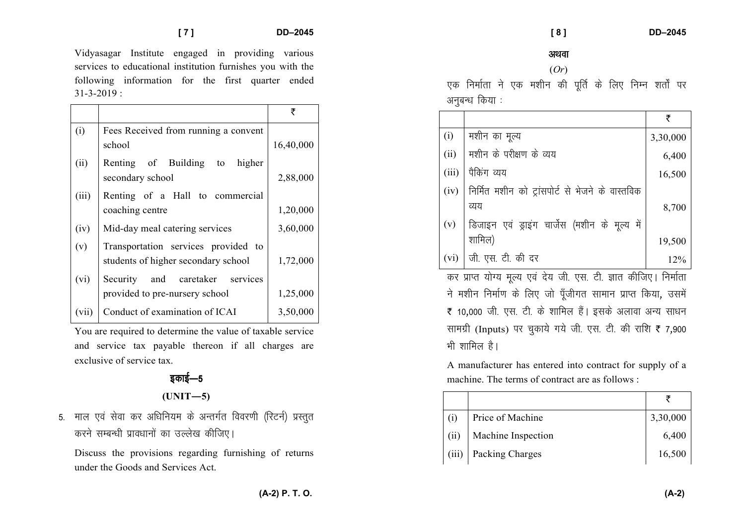Vidyasagar Institute engaged in providing various services to educational institution furnishes you with the following information for the first quarter ended  $31 - 3 - 2019$  :

|       |                                                                            | ₹         |
|-------|----------------------------------------------------------------------------|-----------|
| (i)   | Fees Received from running a convent                                       |           |
|       | school                                                                     | 16,40,000 |
| (ii)  | Renting of Building to<br>higher<br>secondary school                       | 2,88,000  |
| (iii) | Renting of a Hall to commercial                                            |           |
|       | coaching centre                                                            | 1,20,000  |
| (iv)  | Mid-day meal catering services                                             | 3,60,000  |
| (v)   | Transportation services provided to<br>students of higher secondary school | 1,72,000  |
| (vi)  | Security and caretaker<br>services                                         |           |
|       | provided to pre-nursery school                                             | 1,25,000  |
| (vii) | Conduct of examination of ICAI                                             | 3,50,000  |

You are required to determine the value of taxable service and service tax payable thereon if all charges are exclusive of service tax.

# डकाई—5

 $(UNIT-5)$ 

5. माल एवं सेवा कर अधिनियम के अन्तर्गत विवरणी (रिटर्न) प्रस्तुत करने सम्बन्धी प्रावधानों का उल्लेख कीजिए।

Discuss the provisions regarding furnishing of returns under the Goods and Services Act.

 **[ 8 ] DD–2045** 

#### अथवा

#### (*Or*)

एक निर्माता ने एक मशीन की पूर्ति के लिए निम्न शर्तों पर अनुबन्ध किया :

|       |                                                  | ₹        |
|-------|--------------------------------------------------|----------|
| (i)   | मशीन का मूल्य                                    | 3,30,000 |
| (ii)  | मशीन के परीक्षण के व्यय                          | 6,400    |
| (iii) | पैकिंग व्यय                                      | 16,500   |
| (iv)  | निर्मित मशीन को ट्रांसपोर्ट से भेजने के वास्तविक |          |
|       | व्यय                                             | 8,700    |
| (v)   | डिजाइन एवं ड्राइंग चार्जेस (मशीन के मूल्य में    |          |
|       | शामिल)                                           | 19,500   |
| (vi)  | जी. एस. टी. की दर                                | 12%      |

कर प्राप्त योग्य मूल्य एवं देय जी. एस. टी. ज्ञात कीजिए। निर्माता ने मशीन निर्माण के लिए जो पूँजीगत सामान प्राप्त किया, उसमें ₹ 10,000 जी. एस. टी. के शामिल हैं। इसके अलावा अन्य साधन सामग्री (Inputs) पर चुकाये गये जी. एस. टी. की राशि ₹ 7,900 भी शामिल है।

A manufacturer has entered into contract for supply of a machine. The terms of contract are as follows :

| (i)   | Price of Machine   | 3,30,000 |
|-------|--------------------|----------|
| (ii)  | Machine Inspection | 6,400    |
| (iii) | Packing Charges    | 16,500   |